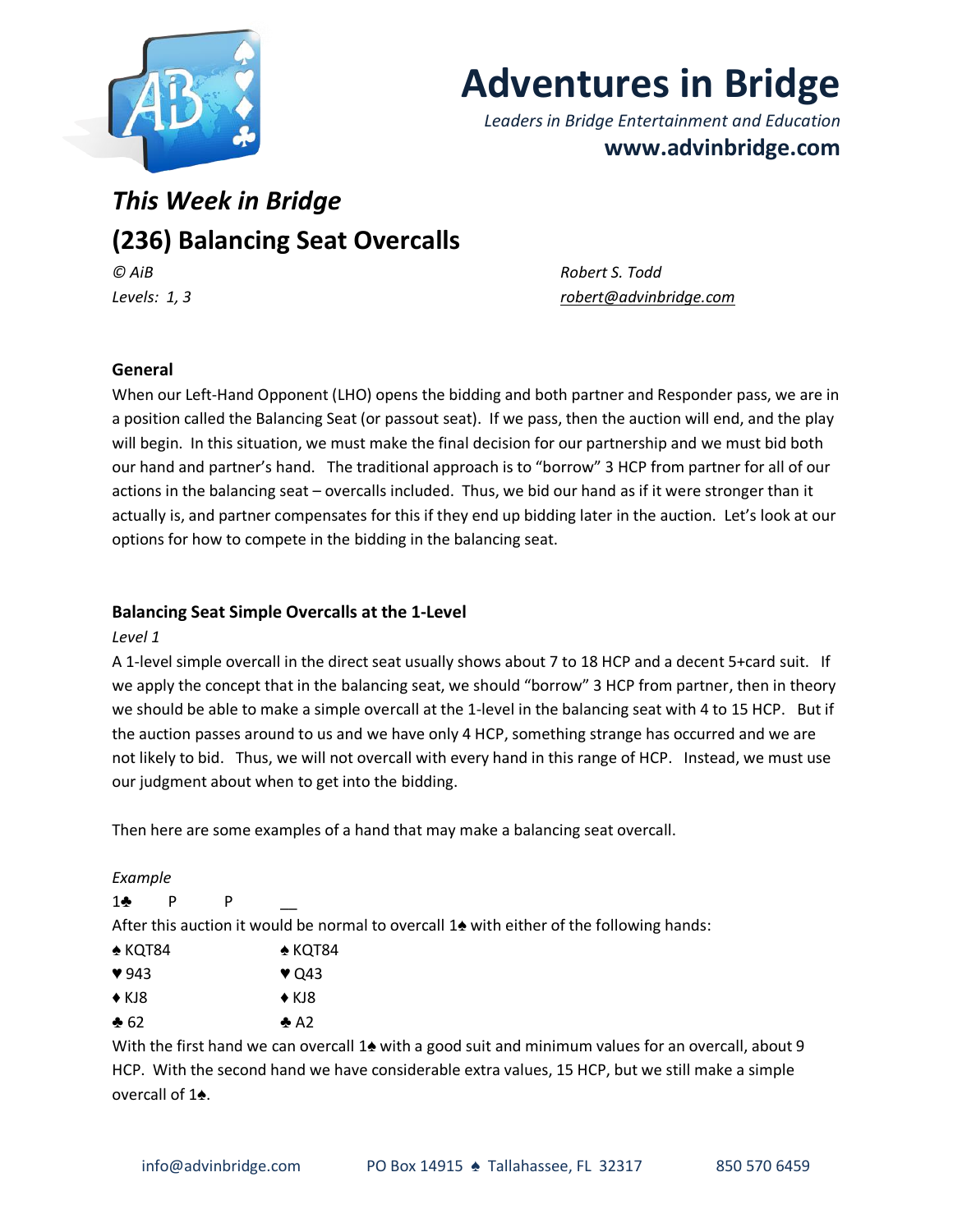

# **Adventures in Bridge**

*Leaders in Bridge Entertainment and Education* **www.advinbridge.com**

# *This Week in Bridge* **(236) Balancing Seat Overcalls** *© AiB Robert S. Todd*

*Levels: 1, 3 [robert@advinbridge.com](mailto:robert@advinbridge.com)*

# **General**

When our Left-Hand Opponent (LHO) opens the bidding and both partner and Responder pass, we are in a position called the Balancing Seat (or passout seat). If we pass, then the auction will end, and the play will begin. In this situation, we must make the final decision for our partnership and we must bid both our hand and partner's hand. The traditional approach is to "borrow" 3 HCP from partner for all of our actions in the balancing seat – overcalls included. Thus, we bid our hand as if it were stronger than it actually is, and partner compensates for this if they end up bidding later in the auction. Let's look at our options for how to compete in the bidding in the balancing seat.

# **Balancing Seat Simple Overcalls at the 1-Level**

# *Level 1*

A 1-level simple overcall in the direct seat usually shows about 7 to 18 HCP and a decent 5+card suit. If we apply the concept that in the balancing seat, we should "borrow" 3 HCP from partner, then in theory we should be able to make a simple overcall at the 1-level in the balancing seat with 4 to 15 HCP. But if the auction passes around to us and we have only 4 HCP, something strange has occurred and we are not likely to bid. Thus, we will not overcall with every hand in this range of HCP. Instead, we must use our judgment about when to get into the bidding.

Then here are some examples of a hand that may make a balancing seat overcall.

# *Example*

1♣ P P <u>|</u>

After this auction it would be normal to overcall 1♠ with either of the following hands:

- ♠ KQT84 ♠ KQT84
- $\sqrt{943}$   $\sqrt{043}$
- $\bullet$  KJ8  $\bullet$  KJ8
- $\clubsuit$  62  $\spadesuit$  A2

With the first hand we can overcall 1▲ with a good suit and minimum values for an overcall, about 9 HCP. With the second hand we have considerable extra values, 15 HCP, but we still make a simple overcall of 1♠.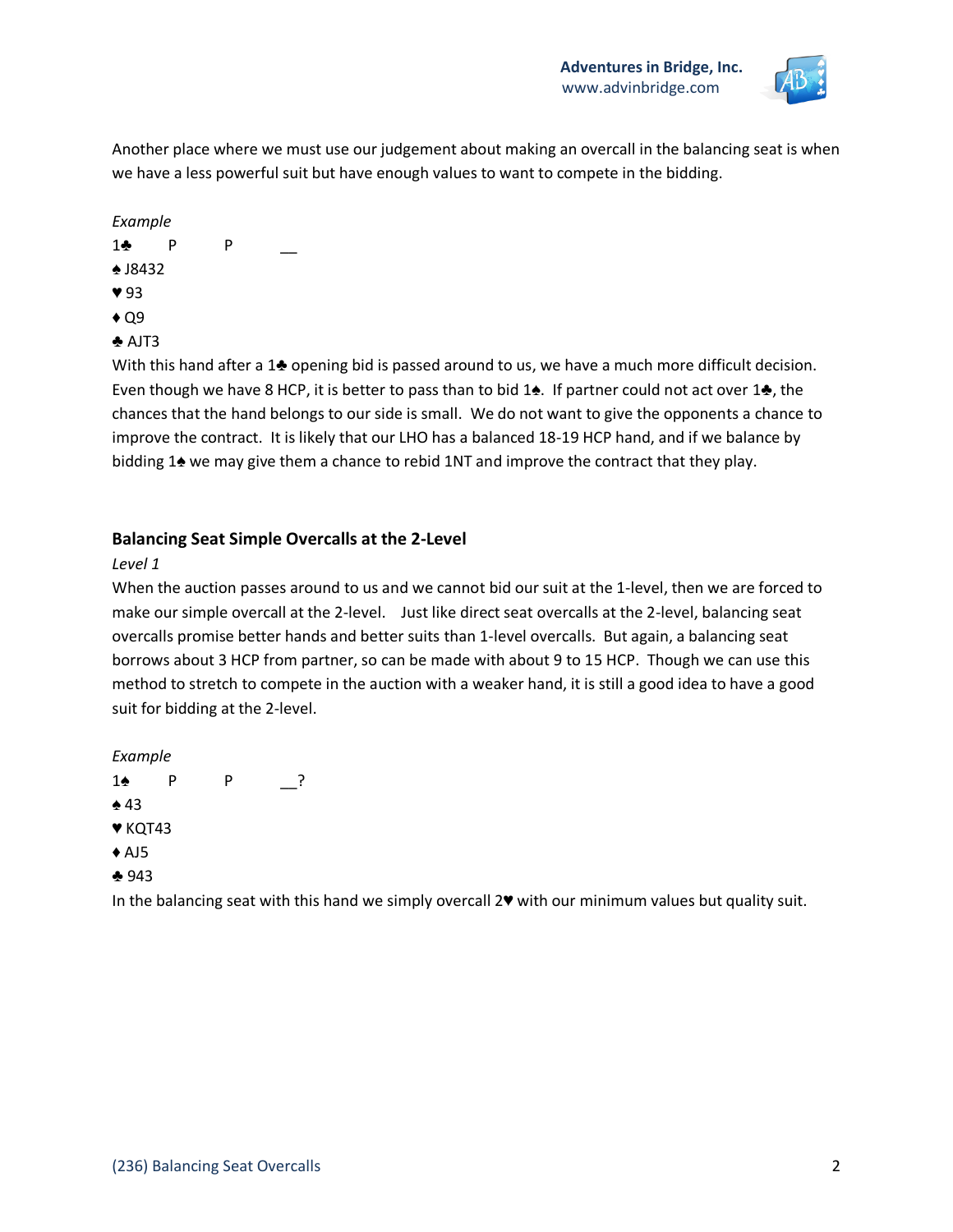

Another place where we must use our judgement about making an overcall in the balancing seat is when we have a less powerful suit but have enough values to want to compete in the bidding.

#### *Example*

- 1♣ P P \_\_
- ♠ J8432
- ♥ 93
- $\triangle$  Q9
- $\triangle$  AJT3

With this hand after a 1♣ opening bid is passed around to us, we have a much more difficult decision. Even though we have 8 HCP, it is better to pass than to bid 1♠. If partner could not act over 1♣, the chances that the hand belongs to our side is small. We do not want to give the opponents a chance to improve the contract. It is likely that our LHO has a balanced 18-19 HCP hand, and if we balance by bidding 1 $\triangle$  we may give them a chance to rebid 1NT and improve the contract that they play.

# **Balancing Seat Simple Overcalls at the 2-Level**

# *Level 1*

When the auction passes around to us and we cannot bid our suit at the 1-level, then we are forced to make our simple overcall at the 2-level. Just like direct seat overcalls at the 2-level, balancing seat overcalls promise better hands and better suits than 1-level overcalls. But again, a balancing seat borrows about 3 HCP from partner, so can be made with about 9 to 15 HCP. Though we can use this method to stretch to compete in the auction with a weaker hand, it is still a good idea to have a good suit for bidding at the 2-level.

#### *Example*

1♠ P P \_\_? ♠ 43 ♥ KQT43  $\triangle$  AJ5 ♣ 943

In the balancing seat with this hand we simply overcall 2♥ with our minimum values but quality suit.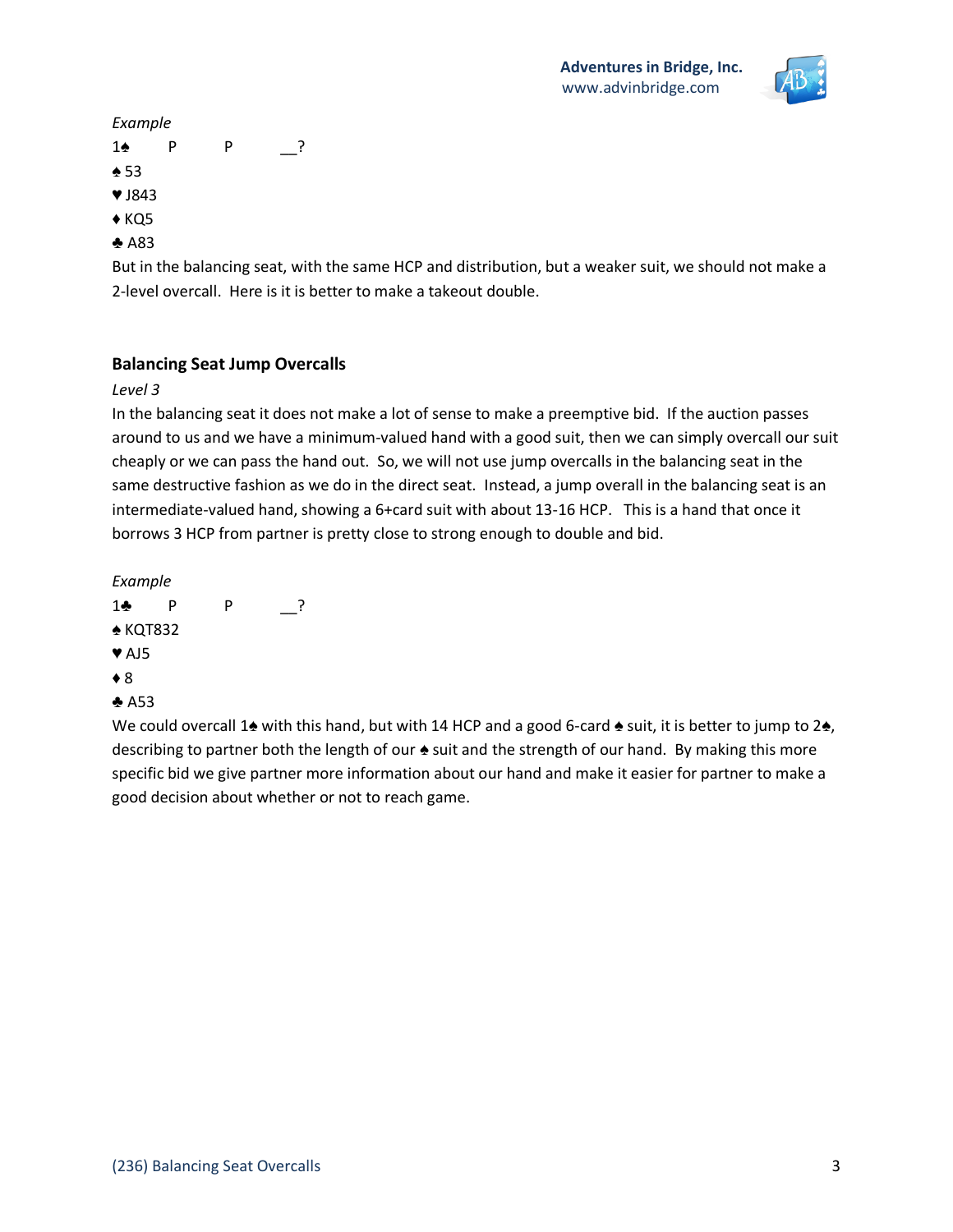

#### *Example*

- 1♠ P P \_\_?
- ♠ 53
- ♥ J843
- $\triangle$  KQ5
- ♣ A83

But in the balancing seat, with the same HCP and distribution, but a weaker suit, we should not make a 2-level overcall. Here is it is better to make a takeout double.

# **Balancing Seat Jump Overcalls**

# *Level 3*

In the balancing seat it does not make a lot of sense to make a preemptive bid. If the auction passes around to us and we have a minimum-valued hand with a good suit, then we can simply overcall our suit cheaply or we can pass the hand out. So, we will not use jump overcalls in the balancing seat in the same destructive fashion as we do in the direct seat. Instead, a jump overall in the balancing seat is an intermediate-valued hand, showing a 6+card suit with about 13-16 HCP. This is a hand that once it borrows 3 HCP from partner is pretty close to strong enough to double and bid.

*Example* 

- 1♣ P P \_\_?
- ♠ KQT832
- ♥ AJ5
- ♦ 8
- ♣ A53

We could overcall 1♠ with this hand, but with 14 HCP and a good 6-card ♠ suit, it is better to jump to 2♠, describing to partner both the length of our  $\triangle$  suit and the strength of our hand. By making this more specific bid we give partner more information about our hand and make it easier for partner to make a good decision about whether or not to reach game.